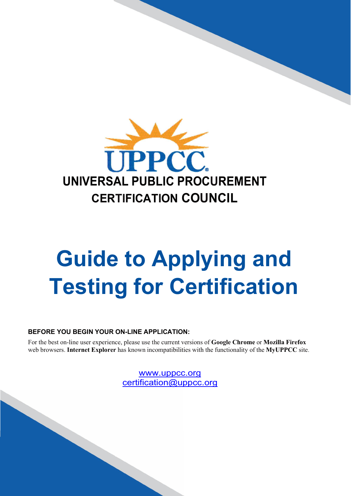

# **Guide to Applying and Testing for Certification**

### **BEFORE YOU BEGIN YOUR ON-LINE APPLICATION:**

For the best on-line user experience, please use the current versions of **Google Chrome** or **Mozilla Firefox** web browsers. **Internet Explorer** has known incompatibilities with the functionality of the **MyUPPCC** site.

> [www.uppcc.org](http://www.uppcc.org/) [certification@uppcc.org](mailto:certification@uppcc.org)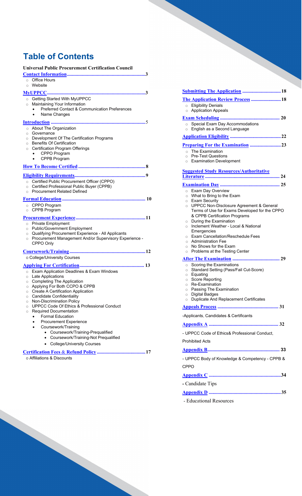### **Table of Contents**

| <b>Universal Public Procurement Certification Council</b>                              |
|----------------------------------------------------------------------------------------|
|                                                                                        |
| $\circ$ Office Hours                                                                   |
| Website<br>$\circ$                                                                     |
|                                                                                        |
| Getting Started With MyUPPCC<br>$\circ$                                                |
| Maintaining Your Information<br>$\circ$                                                |
| Preferred Contact & Communication Preferences                                          |
| Name Changes<br>$\bullet$                                                              |
|                                                                                        |
| ○ About The Organization                                                               |
| Governance<br>$\circ$                                                                  |
| Development Of The Certification Programs<br>$\circ$                                   |
| <b>Benefits Of Certification</b><br>$\circ$                                            |
| <b>Certification Program Offerings</b><br>$\circ$<br>CPPO Program                      |
| CPPB Program<br>$\bullet$                                                              |
|                                                                                        |
|                                                                                        |
|                                                                                        |
| ○ Certified Public Procurement Officer (CPPO)                                          |
| Certified Professional Public Buyer (CPPB)<br>$\circ$                                  |
| <b>Procurement Related Defined</b><br>$\circ$                                          |
|                                                                                        |
| CPPO Program<br>$\circ$                                                                |
| CPPB Program<br>$\circ$                                                                |
|                                                                                        |
|                                                                                        |
|                                                                                        |
| <b>Private Employment</b><br>$\circ$<br><b>Public/Government Employment</b><br>$\circ$ |
| Qualifying Procurement Experience - All Applicants<br>$\circ$                          |
| Procurement Management And/or Supervisory Experience -<br>$\circ$                      |
| CPPO Only                                                                              |
|                                                                                        |
| o College/University Courses                                                           |
|                                                                                        |
|                                                                                        |
| Exam Application Deadlines & Exam Windows<br>$\circ$<br>$\circ$                        |
| Late Applications<br>○ Completing The Application                                      |
| ○ Applying For Both CCPO & CPPB                                                        |
| Create A Certification Application<br>$\circ$                                          |
| <b>Candidate Confidentiality</b><br>$\circ$                                            |
| Non-Discrimination Policy<br>$\circ$                                                   |
| <b>UPPCC Code Of Ethics &amp; Professional Conduct</b><br>$\circ$<br>$\circ$           |
| <b>Required Documentation</b><br><b>Formal Education</b>                               |
| <b>Procurement Experience</b>                                                          |
| Coursework/Training                                                                    |
| • Coursework/Training-Prequalified                                                     |
| • Coursework/Training-Not Prequalified                                                 |
| • College/University Courses                                                           |
|                                                                                        |

**[Application](#page-21-0) Eligibility .........................................22 [Preparing For the](#page-22-0) Examination .........................23** ○ The Examination<br>○ Pre-Test Question **Pre-Test Questions** o Examination Development **[Suggested Study Resources/Authoritative](#page-23-0) [Literature](#page-23-0) ............................................................ 24 [Examination](#page-24-0) Day ................................................ 25** o Exam Day Overview o What to Bring to the Exam o Exam Security o UPPCC Non-Disclosure Agreement & General Terms of Use for Exams Developed for the CPPO & CPPB Certification Programs o During the Examination o Inclement Weather - Local & National Emergencies o Exam Cancellation/Reschedule Fees o Administration Fee o No Shows for the Exam o Problems at the Testing Center **After The [Examination](#page-28-0) ...................................... 29** o Scoring the Examinations o Standard Setting (Pass/Fail Cut-Score) o Equating o Score Reporting o Re-Examination o Passing The Examination o Digital Badges o Duplicate And Replacement Certificates **[Appeals](#page-30-0) Process ................................................. 31** -Applicants, Candidates & Certificants **[Appendix](#page-31-0) A ........................................................ 32** - UPPCC Code of Ethics& Professional Conduct, Prohibited Acts **[Appendix](#page-32-0) B.......................................................... 33** - UPPCC Body of Knowledge & Competency - CPPB & CPPO **[Appendix](#page-33-0) C ..........................................................34 -** Candidate Tips **[Appendix](#page-34-0) D ..........................................................35** - Educational Resources

**[Submitting The Application](#page-17-0) ...............................18 The [Application Review](#page-17-1) Process ........................18**

**Exam [Scheduling](#page-19-0) ................................................ 20**

o Special Exam Day Accommodations o English as a Second Language

o Eligibility Denials o Application Appeals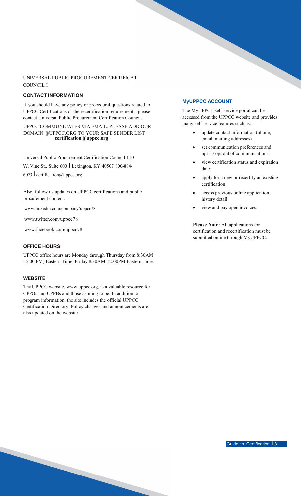### UNIVERSAL PUBLIC PROCUREMENT CERTIFICAT **COUNCIL®**

### <span id="page-2-0"></span>**CONTACT INFORMATION**

If you should have any policy or procedural questions related to UPPCC Certifications or the recertification requirements, please contact Universal Public Procurement Certification Council.

UPPCC COMMUNICATES VIA EMAIL. PLEASE ADD OUR DOMAIN @UPPCC.ORG TO YOUR SAFE SENDER LIST **[certification@uppcc.org](mailto:certification@uppcc.org)**

Universal Public Procurement Certification Council 110

W. Vine St., Suite 600 Lexington, KY 40507 800-884-

6073 I [certification@uppcc.org](mailto:certification@uppcc.org)

Also, follow us updates on UPPCC certifications and public procurement content.

[www.linkedin.com/company/uppcc78](http://www.linkedin.com/company/uppcc78)

[www.twitter.com/uppcc78](http://www.twitter.com/uppcc78)

[www.facebook.com/uppcc78](http://www.facebook.com/uppcc78)

### **OFFICE HOURS**

UPPCC office hours are Monday through Thursday from 8:30AM - 5:00 PM) Eastern Time. Friday 8:30AM-12:00PM Eastern Time.

### **WEBSITE**

The UPPCC website, [www.uppcc.org, i](http://www.uppcc.org/)s a valuable resource for CPPOs and CPPBs and those aspiring to be. In addition to program information, the site includes the official UPPCC Certification Directory. Policy changes and announcements are also updated on the website.

### <span id="page-2-1"></span>**MyUPPCC ACCOUNT**

The MyUPPCC self-service portal can be accessed from the UPPCC website and provides many self-service features such as:

- update contact information (phone, email, mailing addresses)
- set communication preferences and opt in/ opt out of communications
- view certification status and expiration dates
- apply for a new or recertify an existing certification
- access previous online application history detail
- view and pay open invoices.

**Please Note:** All applications for certification and recertification must be submitted online through MyUPPCC.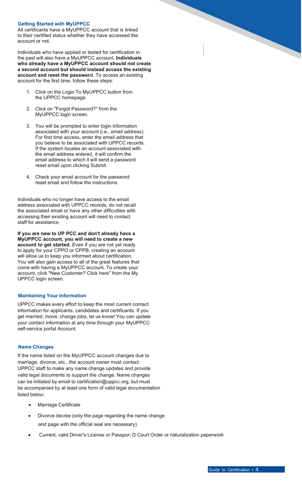### **Getting Started with MyUPPCC**

All certificants have a MyUPPCC account that is linked to their certified status whether they have accessed the account or not.

Individuals who have applied or tested for certification in the past will also have a MyUPPCC account. **Individuals who already have a MyUPPCC account should not create a second account but should instead access the existing account and reset the password**. To access an existing account for the first time, follow these steps:

- 1. Click on the Login To MyUPPCC button from the UPPCC homepage.
- 2. Click on "Forgot Password?" from the MyUPPCC login screen.
- 3. You will be prompted to enter login information associated with your account (i.e., email address). For first time access, enter the email address that you believe to be associated with UPPCC records. If the system locates an account associated with the email address entered, it will confirm the email address to which it will send a password reset email upon clicking Submit.
- 4. Check your email account for the password reset email and follow the instructions.

Individuals who no longer have access to the email address associated with UPPCC records, do not recall the associated email or have any other difficulties with accessing their existing account will need to contact staff for assistance.

**If you are new to UP PCC and don't already have a MyUPPCC account, you will need to create a new account to get started.** Even if you are not yet ready to apply for your CPPO or CPPB, creating an account will allow us to keep you informed about certification. You will also gain access to all of the great features that come with having a MyUPPCC account. To create your account, click "New Customer? Click here" from the My UPPCC login screen.

### **Maintaining Your Information**

UPPCC makes every effort to keep the most current contact information for applicants, candidates and certificants. If you get married, move, change jobs, let us know! You can update your contact information at any time through your MyUPPCC self-service portal Account.

### **Name Changes**

If the name listed on the MyUPPCC account changes due to marriage, divorce, etc., the account owner must contact UPPCC staff to make any name change updates and provide valid legal documents to support the change. Name changes can be initiated by email to [certification@uppcc.org,](mailto:certification@uppcc.org) but must be accompanied by at least one form of valid legal documentation listed below:

- **Marriage Certificate**
- Divorce decree (only the page regarding the name change and page with the official seal are necessary)
- Current, valid Driver's License or Passport D Court Order or naturalization paperwork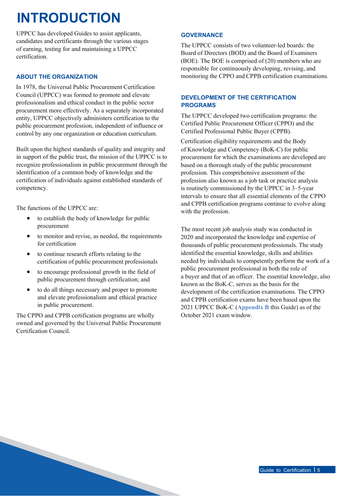### **INTRODUCTION**

UPPCC has developed Guides to assist applicants, candidates and certificants through the various stages of earning, testing for and maintaining a UPPCC certification.

### **ABOUT THE ORGANIZATION**

<span id="page-4-0"></span>In 1978, the Universal Public Procurement Certification Council (UPPCC) was formed to promote and elevate professionalism and ethical conduct in the public sector procurement more effectively. As a separately incorporated entity, UPPCC objectively administers certification to the public procurement profession, independent of influence or control by any one organization or education curriculum.

Built upon the highest standards of quality and integrity and in support of the public trust, the mission of the UPPCC is to recognize professionalism in public procurement through the identification of a common body of knowledge and the certification of individuals against established standards of competency.

The functions of the UPPCC are:

- to establish the body of knowledge for public procurement
- to monitor and revise, as needed, the requirements for certification
- to continue research efforts relating to the certification of public procurement professionals
- to encourage professional growth in the field of public procurement through certification; and
- to do all things necessary and proper to promote and elevate professionalism and ethical practice in public procurement.

The CPPO and CPPB certification programs are wholly owned and governed by the Universal Public Procurement Certification Council.

### **GOVERNANCE**

The UPPCC consists of two volunteer-led boards: the Board of Directors (BOD) and the Board of Examiners (BOE). The BOE is comprised of (20) members who are responsible for continuously developing, revising, and monitoring the CPPO and CPPB certification examinations.

### **DEVELOPMENT OF THE CERTIFICATION PROGRAMS**

The UPPCC developed two certification programs: the Certified Public Procurement Officer (CPPO) and the Certified Professional Public Buyer (CPPB).

Certification eligibility requirements and the Body of Knowledge and Competency (BoK-C) for public procurement for which the examinations are developed are based on a thorough study of the public procurement profession. This comprehensive assessment of the profession also known as a job task or practice analysis is routinely commissioned by the UPPCC in 3–5-year intervals to ensure that all essential elements of the CPPO and CPPB certification programs continue to evolve along with the profession.

The most recent job analysis study was conducted in 2020 and incorporated the knowledge and expertise of thousands of public procurement professionals. The study identified the essential knowledge, skills and abilities needed by individuals to competently perform the work of a public procurement professional in both the role of a buyer and that of an officer. The essential knowledge, also known as the BoK-C, serves as the basis for the development of the certification examinations. The CPPO and CPPB certification exams have been based upon the 2021 UPPCC BoK-C (**Appendix B** this Guide) as of the October 2021 exam window.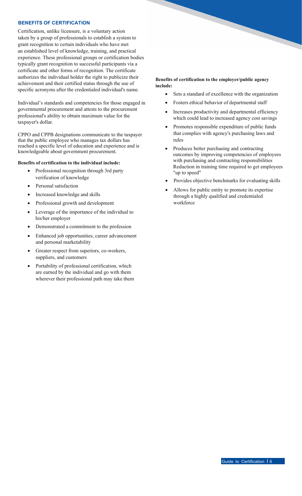### **BENEFITS OF CERTIFICATION**

Certification, unlike licensure, is a voluntary action taken by a group of professionals to establish a system to grant recognition to certain individuals who have met an established level of knowledge, training, and practical experience. These professional groups or certification bodies typically grant recognition to successful participants via a certificate and other forms of recognition. The certificate authorizes the individual holder the right to publicize their achievement and their certified status through the use of specific acronyms after the credentialed individual's name.

Individual's standards and competencies for those engaged in governmental procurement and attests to the procurement professional's ability to obtain maximum value for the taxpayer's dollar.

CPPO and CPPB designations communicate to the taxpayer that the public employee who manages tax dollars has reached a specific level of education and experience and is knowledgeable about government procurement.

### **Benefits of certification to the individual include:**

- Professional recognition through 3rd party verification of knowledge
- Personal satisfaction
- Increased knowledge and skills
- Professional growth and development
- Leverage of the importance of the individual to his/her employer
- Demonstrated a commitment to the profession
- Enhanced job opportunities, career advancement and personal marketability
- Greater respect from superiors, co-workers, suppliers, and customers
- Portability of professional certification, which are earned by the individual and go with them wherever their professional path may take them

### **Benefits of certification to the employer/public agency include:**

- Sets a standard of excellence with the organization
- Fosters ethical behavior of departmental staff
- Increases productivity and departmental efficiency which could lead to increased agency cost savings
- Promotes responsible expenditure of public funds that complies with agency's purchasing laws and rules
- Produces better purchasing and contracting outcomes by improving competencies of employees with purchasing and contracting responsibilities Reduction in training time required to get employees "up to speed"
- Provides objective benchmarks for evaluating skills
- Allows for public entity to promote its expertise through a highly qualified and credentialed workforce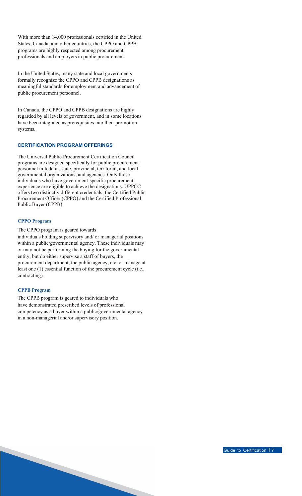With more than 14,000 professionals certified in the United States, Canada, and other countries, the CPPO and CPPB programs are highly respected among procurement professionals and employers in public procurement.

In the United States, many state and local governments formally recognize the CPPO and CPPB designations as meaningful standards for employment and advancement of public procurement personnel.

In Canada, the CPPO and CPPB designations are highly regarded by all levels of government, and in some locations have been integrated as prerequisites into their promotion systems.

### **CERTIFICATION PROGRAM OFFERINGS**

The Universal Public Procurement Certification Council programs are designed specifically for public procurement personnel in federal, state, provincial, territorial, and local governmental organizations, and agencies. Only those individuals who have government-specific procurement experience are eligible to achieve the designations. UPPCC offers two distinctly different credentials; the Certified Public Procurement Officer (CPPO) and the Certified Professional Public Buyer (CPPB).

#### **CPPO Program**

The CPPO program is geared towards

individuals holding supervisory and/ or managerial positions within a public/governmental agency. These individuals may or may not be performing the buying for the governmental entity, but do either supervise a staff of buyers, the procurement department, the public agency, etc. or manage at least one (1) essential function of the procurement cycle (i.e., contracting).

### **CPPB Program**

The CPPB program is geared to individuals who have demonstrated prescribed levels of professional competency as a buyer within a public/governmental agency in a non-managerial and/or supervisory position.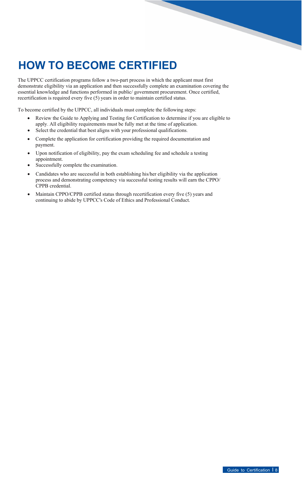### <span id="page-7-0"></span>**HOW TO BECOME CERTIFIED**

The UPPCC certification programs follow a two-part process in which the applicant must first demonstrate eligibility via an application and then successfully complete an examination covering the essential knowledge and functions performed in public/ government procurement. Once certified, recertification is required every five (5) years in order to maintain certified status.

To become certified by the UPPCC, all individuals must complete the following steps:

- Review the Guide to Applying and Testing for Certification to determine if you are eligible to apply. All eligibility requirements must be fully met at the time of application.
- Select the credential that best aligns with your professional qualifications.
- Complete the application for certification providing the required documentation and payment.
- Upon notification of eligibility, pay the exam scheduling fee and schedule a testing appointment.
- Successfully complete the examination.
- Candidates who are successful in both establishing his/her eligibility via the application process and demonstrating competency via successful testing results will earn the CPPO/ CPPB credential.
- Maintain CPPO/CPPB certified status through recertification every five (5) years and continuing to abide by UPPCC's Code of Ethics and Professional Conduct.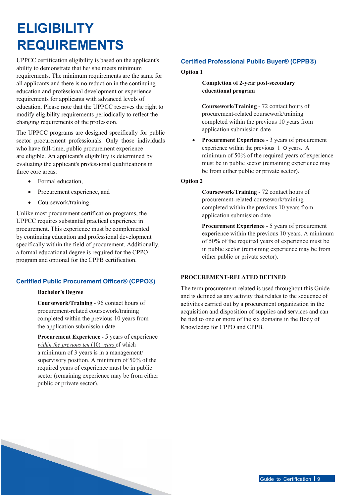### **ELIGIBILITY REQUIREMENTS**

UPPCC certification eligibility is based on the applicant's ability to demonstrate that he/ she meets minimum requirements. The minimum requirements are the same for all applicants and there is no reduction in the continuing education and professional development or experience requirements for applicants with advanced levels of education. Please note that the UPPCC reserves the right to modify eligibility requirements periodically to reflect the changing requirements of the profession.

<span id="page-8-0"></span>The UPPCC programs are designed specifically for public sector procurement professionals. Only those individuals who have full-time, public procurement experience are eligible. An applicant's eligibility is determined by evaluating the applicant's professional qualifications in three core areas:

- Formal education,
- Procurement experience, and
- Coursework/training.

Unlike most procurement certification programs, the UPPCC requires substantial practical experience in procurement. This experience must be complemented by continuing education and professional development specifically within the field of procurement. Additionally, a formal educational degree is required for the CPPO program and optional for the CPPB certification.

### **Certified Public Procurement Officer® (CPPO®)**

### **Bachelor's Degree**

**Coursework/Training** - 96 contact hours of procurement-related coursework/training completed within the previous 10 years from the application submission date

**Procurement Experience** - 5 years of experience *within the previous ten* (10) *years* of which a minimum of 3 years is in a management/ supervisory position. A minimum of 50% of the required years of experience must be in public sector (remaining experience may be from either public or private sector).

### **Certified Professional Public Buyer® (CPPB®)**

### **Option 1**

**Completion of 2-year post-secondary educational program**

**Coursework/Training** - 72 contact hours of procurement-related coursework/training completed within the previous 10 years from application submission date

**Procurement Experience - 3 years of procurement** experience within the previous 1 O years. A minimum of 50% of the required years of experience must be in public sector (remaining experience may be from either public or private sector).

### **Option 2**

**Coursework/Training** - 72 contact hours of procurement-related coursework/training completed within the previous 10 years from application submission date

**Procurement Experience** - 5 years of procurement experience within the previous 10 years. A minimum of 50% of the required years of experience must be in public sector (remaining experience may be from either public or private sector).

### **PROCUREMENT-RELATED DEFINED**

The term procurement-related is used throughout this Guide and is defined as any activity that relates to the sequence of activities carried out by a procurement organization in the acquisition and disposition of supplies and services and can be tied to one or more of the six domains in the Body of Knowledge for CPPO and CPPB.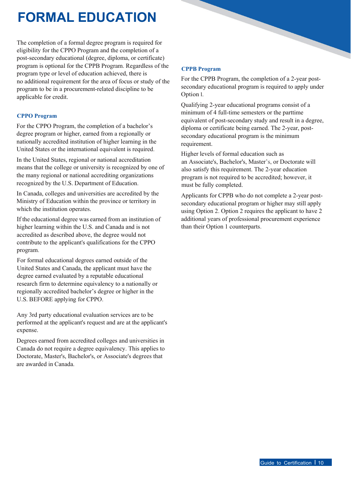## **FORMAL EDUCATION**

The completion of a formal degree program is required for eligibility for the CPPO Program and the completion of a post-secondary educational (degree, diploma, or certificate) program is optional for the CPPB Program. Regardless of the program type or level of education achieved, there is no additional requirement for the area of focus or study of the program to be in a procurement-related discipline to be applicable for credit.

### <span id="page-9-0"></span>**CPPO Program**

For the CPPO Program, the completion of a bachelor's degree program or higher, earned from a regionally or nationally accredited institution of higher learning in the United States or the international equivalent is required.

In the United States, regional or national accreditation means that the college or university is recognized by one of the many regional or national accrediting organizations recognized by the U.S. Department of Education.

In Canada, colleges and universities are accredited by the Ministry of Education within the province or territory in which the institution operates.

If the educational degree was earned from an institution of higher learning within the U.S. and Canada and is not accredited as described above, the degree would not contribute to the applicant's qualifications for the CPPO program.

For formal educational degrees earned outside of the United States and Canada, the applicant must have the degree earned evaluated by a reputable educational research firm to determine equivalency to a nationally or regionally accredited bachelor's degree or higher in the U.S. BEFORE applying for CPPO.

Any 3rd party educational evaluation services are to be performed at the applicant's request and are at the applicant's expense.

Degrees earned from accredited colleges and universities in Canada do not require a degree equivalency. This applies to Doctorate, Master's, Bachelor's, or Associate's degrees that are awarded in Canada.

### **CPPB Program**

For the CPPB Program, the completion of a 2-year postsecondary educational program is required to apply under Option l.

Qualifying 2-year educational programs consist of a minimum of 4 full-time semesters or the parttime equivalent of post-secondary study and result in a degree, diploma or certificate being earned. The 2-year, postsecondary educational program is the minimum requirement.

Higher levels of formal education such as an Associate's, Bachelor's, Master's, or Doctorate will also satisfy this requirement. The 2-year education program is not required to be accredited; however, it must be fully completed.

Applicants for CPPB who do not complete a 2-year postsecondary educational program or higher may still apply using Option 2. Option 2 requires the applicant to have 2 additional years of professional procurement experience than their Option 1 counterparts.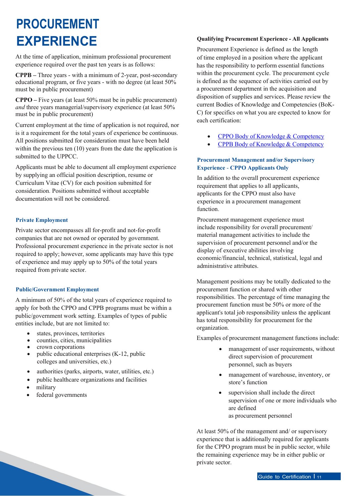### **PROCUREMENT EXPERIENCE**

At the time of application, minimum professional procurement experience required over the past ten years is as follows:

**CPPB –** Three years - with a minimum of 2-year, post-secondary educational program, or five years - with no degree (at least 50% must be in public procurement)

**CPPO –** Five years (at least 50% must be in public procurement) *and* three years managerial/supervisory experience (at least 50% must be in public procurement)

<span id="page-10-0"></span>Current employment at the time of application is not required, nor is it a requirement for the total years of experience be continuous. All positions submitted for consideration must have been held within the previous ten (10) years from the date the application is submitted to the UPPCC.

Applicants must be able to document all employment experience by supplying an official position description, resume or Curriculum Vitae (CV) for each position submitted for consideration. Positions submitted without acceptable documentation will not be considered.

### **Private Employment**

Private sector encompasses all for-profit and not-for-profit companies that are not owned or operated by government. Professional procurement experience in the private sector is not required to apply; however, some applicants may have this type of experience and may apply up to 50% of the total years required from private sector.

### **Public/Government Employment**

A minimum of 50% of the total years of experience required to apply for both the CPPO and CPPB programs must be within a public/government work setting. Examples of types of public entities include, but are not limited to:

- states, provinces, territories
- counties, cities, municipalities
- crown corporations
- public educational enterprises (K-12, public colleges and universities, etc.)
- authorities (parks, airports, water, utilities, etc.)
- public healthcare organizations and facilities
- military
- federal governments

### **Qualifying Procurement Experience - All Applicants**

Procurement Experience is defined as the length of time employed in a position where the applicant has the responsibility to perform essential functions within the procurement cycle. The procurement cycle is defined as the sequence of activities carried out by a procurement department in the acquisition and disposition of supplies and services. Please review the current Bodies of Knowledge and Competencies (BoK-C) for specifics on what you are expected to know for each certification:

- CPPO Body of Knowledge & [Competency](https://uppcc.org/Portals/0/2021_UPPCC_BoKC_CPPO_Crosswalk.pdf)
- CPPB Body of Knowledge [& Competency](https://uppcc.org/Portals/0/2021_UPPCC_BoKC_CPPb_Crosswalk.pdf)

### **Procurement Management and/or Supervisory Experience** - **CPPO Applicants Only**

In addition to the overall procurement experience requirement that applies to all applicants, applicants for the CPPO must also have experience in a procurement management function.

Procurement management experience must include responsibility for overall procurement/ material management activities to include the supervision of procurement personnel and/or the display of executive abilities involving economic/financial, technical, statistical, legal and administrative attributes.

Management positions may be totally dedicated to the procurement function or shared with other responsibilities. The percentage of time managing the procurement function must be 50% or more of the applicant's total job responsibility unless the applicant has total responsibility for procurement for the organization.

Examples of procurement management functions include:

- management of user requirements, without direct supervision of procurement personnel, such as buyers
- management of warehouse, inventory, or store's function
- supervision shall include the direct supervision of one or more individuals who are defined as procurement personnel

At least 50% of the management and/ or supervisory experience that is additionally required for applicants for the CPPO program must be in public sector, while the remaining experience may be in either public or private sector.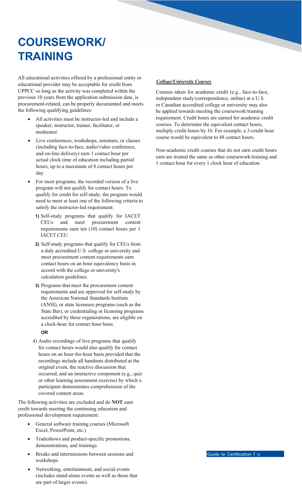## <span id="page-11-0"></span>**COURSEWORK/ TRAINING**

All educational activities offered by a professional entity or educational provider may be acceptable for credit from UPPCC so long as the activity was completed within the previous 10 years from the application submission date, is procurement-related, can be properly documented and meets the following qualifying guidelines:

- All activities must be instructor-led and include a speaker, instructor, trainer, facilitator, or moderator.
- Live conferences, workshops, seminars, or classes (including face-to-face, audio/video conference, and on-line delivery) earn 1 contact hour per actual clock time of education including partial hours, up to a maximum of 8 contact hours per day.
- For most programs, the recorded version of a live program will not qualify for contact hours. To qualify for credit for self-study, the program would need to meet at least one of the following criteria to satisfy the instructor-led requirement:
	- **1)** Self-study programs that qualify for IACET CEUs and meet procurement content requirements earn ten (10) contact hours per 1 IACET CEU.
	- **2)** Self-study programs that qualify for CEUs from a duly accredited U.S. college or university and meet procurement content requirements earn contact hours on an hour equivalency basis in accord with the college or university's calculation guidelines.
	- **3)** Programs that meet the procurement content requirements and are approved for self-study by the American National Standards Institute (ANSI), or state licensure programs (such as the State Bar), or credentialing or licensing programs accredited by these organizations, are eligible on a clock-hour for contact hour basis.

### **OR**

4) Audio recordings of live programs that qualify for contact hours would also qualify for contact hours on an hour-for-hour basis provided that the recordings include all handouts distributed at the original event, the reactive discussion that occurred, and an interactive component (e.g., quiz or other learning assessment exercise) by which a participant demonstrates comprehension of the covered content areas.

The following activities are excluded and do **NOT** earn credit towards meeting the continuing education and professional development requirement:

- General software training courses (Microsoft Excel, PowerPoint, etc.)
- Tradeshows and product-specific promotions, demonstrations, and trainings
- Breaks and intermissions between sessions and workshops
- Networking, entertainment, and social events (includes stand-alone events as well as those that are part of larger events).

### *College/University Courses*

Courses taken for academic credit (e.g., face-to-face, independent study/correspondence, online) at a U.S. or Canadian accredited college or university may also be applied towards meeting the coursework/training requirement. Credit hours are earned for academic credit courses. To determine the equivalent contact hours, multiply credit hours by 16. For example, a 3-credit hour course would be equivalent to 48 contact hours.

Non-academic credit courses that do not earn credit hours earn are treated the same as other coursework/training and 1 contact hour for every 1 clock hour of education.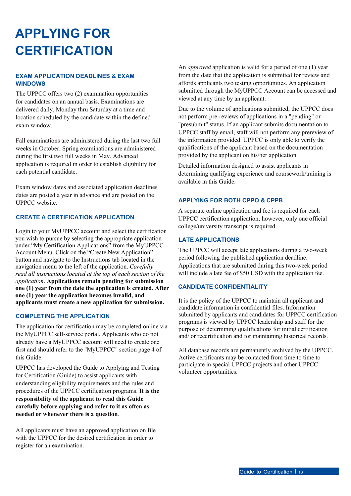## **APPLYING FOR CERTIFICATION**

### **EXAM APPLICATION DEADLINES & EXAM WINDOWS**

The UPPCC offers two (2) examination opportunities for candidates on an annual basis. Examinations are delivered daily, Monday thru Saturday at a time and location scheduled by the candidate within the defined exam window.

<span id="page-12-0"></span>Fall examinations are administered during the last two full weeks in October. Spring examinations are administered during the first two full weeks in May. Advanced application is required in order to establish eligibility for each potential candidate.

Exam window dates and associated application deadlines dates are posted a year in advance and are posted on the UPPCC website.

### **CREATE A CERTIFICATION APPLICATION**

Login to your MyUPPCC account and select the certification you wish to pursue by selecting the appropriate application under "My Certification Applications" from the MyUPPCC Account Menu. Click on the "Create New Application" button and navigate to the Instructions tab located in the navigation menu to the left of the application. *Carefully read all instructions located at the top of each section of the application*. **Applications remain pending for submission one (1) year from the date the application is created. After one (1) year the application becomes invalid, and applicants must create a new application for submission.**

### **COMPLETING THE APPLICATION**

The application for certification may be completed online via the MyUPPCC self-service portal. Applicants who do not already have a MyUPPCC account will need to create one first and should refer to the "MyUPPCC" section page 4 of this Guide.

UPPCC has developed the Guide to Applying and Testing for Certification (Guide) to assist applicants with understanding eligibility requirements and the rules and procedures of the UPPCC certification programs. **It is the responsibility of the applicant to read this Guide carefully before applying and refer to it as often as needed or whenever there is a question**.

All applicants must have an approved application on file with the UPPCC for the desired certification in order to register for an examination.

An *approved* application is valid for a period of one (1) year from the date that the application is submitted for review and affords applicants two testing opportunities. An application submitted through the MyUPPCC Account can be accessed and viewed at any time by an applicant.

Due to the volume of applications submitted, the UPPCC does not perform pre-reviews of applications in a "pending" or "presubmit" status. If an applicant submits documentation to UPPCC staff by email, staff will not perform any prereview of the information provided. UPPCC is only able to verify the qualifications of the applicant based on the documentation provided by the applicant on his/her application.

Detailed information designed to assist applicants in determining qualifying experience and coursework/training is available in this Guide.

### **APPLYING FOR BOTH CPPO & CPPB**

A separate online application and fee is required for each UPPCC certification application; however, only one official college/university transcript is required.

### **LATE APPLICATIONS**

The UPPCC will accept late applications during a two-week period following the published application deadline. Applications that are submitted during this two-week period will include a late fee of \$50 USD with the application fee.

### **CANDIDATE CONFIDENTIALITY**

It is the policy of the UPPCC to maintain all applicant and candidate information in confidential files. Information submitted by applicants and candidates for UPPCC certification programs is viewed by UPPCC leadership and staff for the purpose of determining qualifications for initial certification and/ or recertification and for maintaining historical records.

All database records are permanently archived by the UPPCC. Active certificants may be contacted from time to time to participate in special UPPCC projects and other UPPCC volunteer opportunities.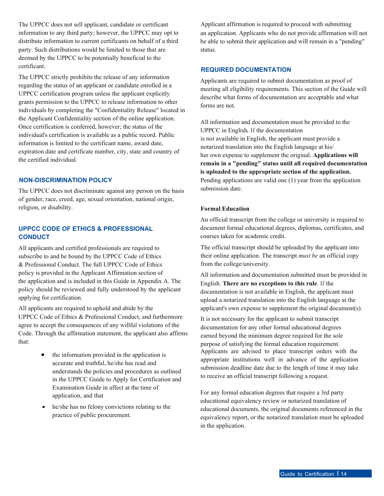The UPPCC does not sell applicant, candidate or certificant information to any third party; however, the UPPCC may opt to distribute information to current certificants on behalf of a third party. Such distributions would be limited to those that are deemed by the UPPCC to be potentially beneficial to the certificant.

The UPPCC strictly prohibits the release of any information regarding the status of an applicant or candidate enrolled in a UPPCC certification program unless the applicant explicitly grants permission to the UPPCC to release information to other individuals by completing the "Confidentiality Release" located in the Applicant Confidentiality section of the online application. Once certification is conferred, however; the status of the individual's certification is available as a public record. Public information is limited to the certificant name, award date, expiration date and certificate number, city, state and country of the certified individual.

#### **NON-DISCRIMINATION POLICY**

The UPPCC does not discriminate against any person on the basis of gender, race, creed, age, sexual orientation, national origin, religion, or disability.

### **UPPCC CODE OF ETHICS & PROFESSIONAL CONDUCT**

All applicants and certified professionals are required to subscribe to and be bound by the UPPCC Code of Ethics & Professional Conduct. The full UPPCC Code of Ethics policy is provided in the Applicant Affirmation section of the application and is included in this Guide in Appendix A. The policy should be reviewed and fully understood by the applicant applying for certification.

All applicants are required to uphold and abide by the UPPCC Code of Ethics & Professional Conduct, and furthermore agree to accept the consequences of any willful violations of the Code. Through the affirmation statement, the applicant also affirms that:

- the information provided in the application is accurate and truthful, he/she has read and understands the policies and procedures as outlined in the UPPCC Guide to Apply for Certification and Examination Guide in affect at the time of application, and that
- he/she has no felony convictions relating to the practice of public procurement.

Applicant affirmation is required to proceed with submitting an application. Applicants who do not provide affirmation will not be able to submit their application and will remain in a "pending" status.

#### **REQUIRED DOCUMENTATION**

Applicants are required to submit documentation as proof of meeting all eligibility requirements. This section of the Guide will describe what forms of documentation are acceptable and what forms are not.

All information and documentation must be provided to the UPPCC in English*.* If the documentation is not available in English, the applicant must provide a notarized translation into the English language at his/ her own expense to supplement the original. **Applications will remain in a "pending" status until all required documentation is uploaded to the appropriate section of the application.** Pending applications are valid one (1) year from the application submission date.

#### **Formal Education**

An official transcript from the college or university is required to document formal educational degrees, diplomas, certificates, and courses taken for academic credit.

The official transcript should be uploaded by the applicant into their online application. The transcript *must be* an official copy from the college/university.

All information and documentation submitted must be provided in English. **There are no exceptions to this rule**. If the documentation is not available in English, the applicant must upload a notarized translation into the English language at the applicant's own expense to supplement the original document(s).

It is not necessary for the applicant to submit transcript documentation for any other formal educational degrees earned beyond the minimum degree required for the sole purpose of satisfying the formal education requirement. Applicants are advised to place transcript orders with the appropriate institutions well in advance of the application submission deadline date due to the length of time it may take to receive an official transcript following a request.

For any formal education degrees that require a 3rd party educational equivalency review or notarized translation of educational documents, the original documents referenced in the equivalency report, or the notarized translation must be uploaded in the application.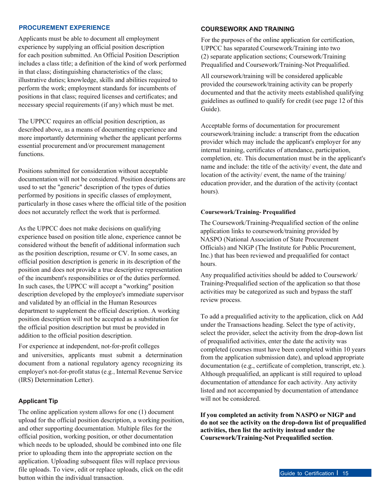### **PROCUREMENT EXPERIENCE**

Applicants must be able to document all employment experience by supplying an official position description for each position submitted. An Official Position Description includes a class title; a definition of the kind of work performed in that class; distinguishing characteristics of the class; illustrative duties; knowledge, skills and abilities required to perform the work; employment standards for incumbents of positions in that class; required licenses and certificates; and necessary special requirements (if any) which must be met.

The UPPCC requires an official position description, as described above, as a means of documenting experience and more importantly determining whether the applicant performs essential procurement and/or procurement management functions.

Positions submitted for consideration without acceptable documentation will not be considered. Position descriptions are used to set the "generic" description of the types of duties performed by positions in specific classes of employment, particularly in those cases where the official title of the position does not accurately reflect the work that is performed.

As the UPPCC does not make decisions on qualifying experience based on position title alone, experience cannot be considered without the benefit of additional information such as the position description, resume or CV. In some cases, an official position description is generic in its description of the position and does not provide a true descriptive representation of the incumbent's responsibilities or of the duties performed. In such cases, the UPPCC will accept a "working" position description developed by the employee's immediate supervisor and validated by an official in the Human Resources department to supplement the official description. A working position description will not be accepted as a substitution for the official position description but must be provided in addition to the official position description.

For experience at independent, not-for-profit colleges and universities, applicants must submit a determination document from a national regulatory agency recognizing its employer's not-for-profit status (e.g., Internal Revenue Service (IRS) Determination Letter).

#### **Applicant Tip**

The online application system allows for one (1) document upload for the official position description, a working position, and other supporting documentation. Multiple files for the official position, working position, or other documentation which needs to be uploaded, should be combined into one file prior to uploading them into the appropriate section on the application. Uploading subsequent files will replace previous file uploads. To view, edit or replace uploads, click on the edit button within the individual transaction.

#### **COURSEWORK AND TRAINING**

For the purposes of the online application for certification, UPPCC has separated Coursework/Training into two (2) separate application sections; Coursework/Training Prequalified and Coursework/Training-Not Prequalified.

All coursework/training will be considered applicable provided the coursework/training activity can be properly documented and that the activity meets established qualifying guidelines as outlined to qualify for credit (see page 12 of this Guide).

Acceptable forms of documentation for procurement coursework/training include: a transcript from the education provider which may include the applicant's employer for any internal training, certificates of attendance, participation, completion, etc. This documentation must be in the applicant's name and include: the title of the activity/ event, the date and location of the activity/ event, the name of the training/ education provider, and the duration of the activity (contact hours).

#### **Coursework/Training- Prequalified**

The Coursework/Training-Prequalified section of the online application links to coursework/training provided by NASPO (National Association of State Procurement Officials) and NIGP (The Institute for Public Procurement, Inc.) that has been reviewed and prequalified for contact hours.

Any prequalified activities should be added to Coursework/ Training-Prequalified section of the application so that those activities may be categorized as such and bypass the staff review process.

To add a prequalified activity to the application, click on Add under the Transactions heading. Select the type of activity, select the provider, select the activity from the drop-down list of prequalified activities, enter the date the activity was completed (courses must have been completed within 10 years from the application submission date), and upload appropriate documentation (e.g., certificate of completion, transcript, etc.). Although prequalified, an applicant is still required to upload documentation of attendance for each activity. Any activity listed and not accompanied by documentation of attendance will not be considered.

**If you completed an activity from NASPO or NIGP and do not see the activity on the drop-down list of prequalified activities, then list the activity instead under the Coursework/Training-Not Prequalified section**.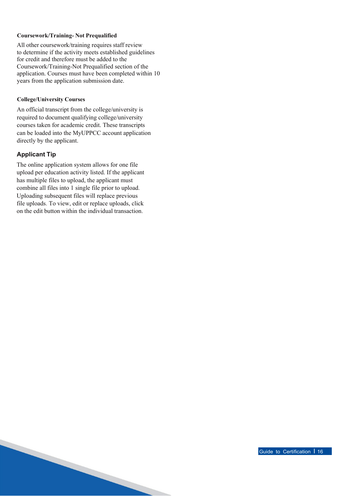### **Coursework/Training- Not Prequalified**

All other coursework/training requires staff review to determine if the activity meets established guidelines for credit and therefore must be added to the Coursework/Training-Not Prequalified section of the application. Courses must have been completed within 10 years from the application submission date.

#### **College/University Courses**

An official transcript from the college/university is required to document qualifying college/university courses taken for academic credit. These transcripts can be loaded into the MyUPPCC account application directly by the applicant.

### **Applicant Tip**

The online application system allows for one file upload per education activity listed. If the applicant has multiple files to upload, the applicant must combine all files into 1 single file prior to upload. Uploading subsequent files will replace previous file uploads. To view, edit or replace uploads, click on the edit button within the individual transaction.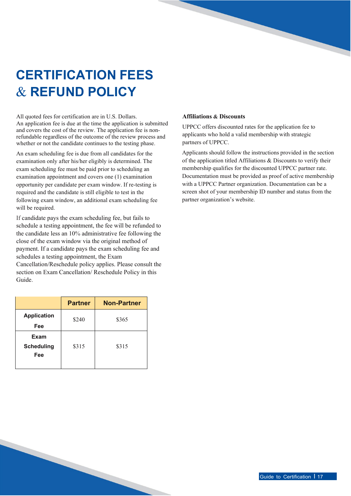### **CERTIFICATION FEES** & **REFUND POLICY**

All quoted fees for certification are in U.S. Dollars. An application fee is due at the time the application is submitted and covers the cost of the review. The application fee is nonrefundable regardless of the outcome of the review process and whether or not the candidate continues to the testing phase.

<span id="page-16-0"></span>An exam scheduling fee is due from all candidates for the examination only after his/her eligibly is determined. The exam scheduling fee must be paid prior to scheduling an examination appointment and covers one (1) examination opportunity per candidate per exam window. If re-testing is required and the candidate is still eligible to test in the following exam window, an additional exam scheduling fee will be required.

If candidate pays the exam scheduling fee, but fails to schedule a testing appointment, the fee will be refunded to the candidate less an 10% administrative fee following the close of the exam window via the original method of payment. If a candidate pays the exam scheduling fee and schedules a testing appointment, the Exam

Cancellation/Reschedule policy applies. Please consult the section on Exam Cancellation/ Reschedule Policy in this Guide.

|                                  | <b>Partner</b> | <b>Non-Partner</b> |
|----------------------------------|----------------|--------------------|
| <b>Application</b><br>Fee        | \$240          | \$365              |
| Exam<br><b>Scheduling</b><br>Fee | \$315          | \$315              |

### **Affiliations & Discounts**

UPPCC offers discounted rates for the application fee to applicants who hold a valid membership with strategic partners of UPPCC.

Applicants should follow the instructions provided in the section of the application titled Affiliations & Discounts to verify their membership qualifies for the discounted UPPCC partner rate. Documentation must be provided as proof of active membership with a UPPCC Partner organization. Documentation can be a screen shot of your membership ID number and status from the partner organization's website.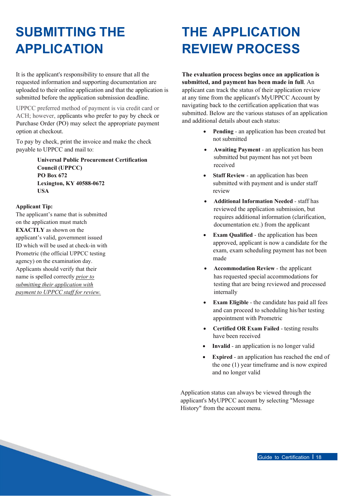### **SUBMITTING THE APPLICATION**

It is the applicant's responsibility to ensure that all the requested information and supporting documentation are uploaded to their online application and that the application is submitted before the application submission deadline.

<span id="page-17-0"></span>UPPCC preferred method of payment is via credit card or ACH; however, applicants who prefer to pay by check or Purchase Order (PO) may select the appropriate payment option at checkout.

To pay by check, print the invoice and make the check payable to UPPCC and mail to:

> **Universal Public Procurement Certification Council (UPPCC) PO Box 672 Lexington, KY 40588-0672 USA**

### **Applicant Tip:**

The applicant's name that is submitted on the application must match **EXACTLY** as shown on the applicant's valid, government issued ID which will be used at check-in with Prometric (the official UPPCC testing agency) on the examination day. Applicants should verify that their name is spelled correctly *prior to submitting their application with payment to UPPCC staff for review.*

### **THE APPLICATION REVIEW PROCESS**

**The evaluation process begins once an application is submitted, and payment has been made in full**. An applicant can track the status of their application review at any time from the applicant's MyUPPCC Account by navigating back to the certification application that was submitted. Below are the various statuses of an application and additional details about each status:

- <span id="page-17-1"></span>• **Pending** - an application has been created but not submitted
- **Awaiting Payment**  an application has been submitted but payment has not yet been received
- **Staff Review**  an application has been submitted with payment and is under staff review
- **Additional Information Needed**  staff has reviewed the application submission, but requires additional information (clarification, documentation etc.) from the applicant
- **Exam Qualified**  the application has been approved, applicant is now a candidate for the exam, exam scheduling payment has not been made
- **Accommodation Review**  the applicant has requested special accommodations for testing that are being reviewed and processed internally
- **Exam Eligible**  the candidate has paid all fees and can proceed to scheduling his/her testing appointment with Prometric
- **Certified OR Exam Failed**  testing results have been received
- **Invalid** an application is no longer valid
- **Expired** an application has reached the end of the one (1) year timeframe and is now expired and no longer valid

Application status can always be viewed through the applicant's MyUPPCC account by selecting "Message History" from the account menu.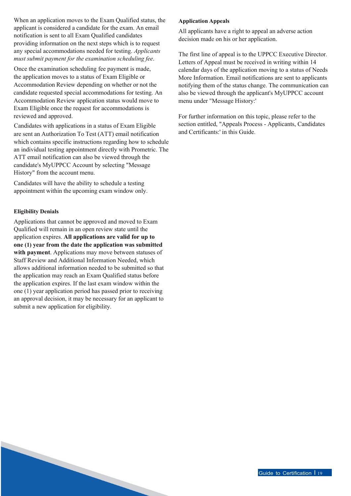When an application moves to the Exam Qualified status, the applicant is considered a candidate for the exam. An email notification is sent to all Exam Qualified candidates providing information on the next steps which is to request any special accommodations needed for testing. *Applicants must submit payment for the examination scheduling fee*.

Once the examination scheduling fee payment is made, the application moves to a status of Exam Eligible or Accommodation Review depending on whether or not the candidate requested special accommodations for testing. An Accommodation Review application status would move to Exam Eligible once the request for accommodations is reviewed and approved.

Candidates with applications in a status of Exam Eligible are sent an Authorization To Test (ATT) email notification which contains specific instructions regarding how to schedule an individual testing appointment directly with Prometric. The ATT email notification can also be viewed through the candidate's MyUPPCC Account by selecting "Message History" from the account menu.

Candidates will have the ability to schedule a testing appointment within the upcoming exam window only.

### **Eligibility Denials**

Applications that cannot be approved and moved to Exam Qualified will remain in an open review state until the application expires. **All applications are valid for up to one (1) year from the date the application was submitted with payment**. Applications may move between statuses of Staff Review and Additional Information Needed, which allows additional information needed to be submitted so that the application may reach an Exam Qualified status before the application expires. If the last exam window within the one (1) year application period has passed prior to receiving an approval decision, it may be necessary for an applicant to submit a new application for eligibility.

### **Application Appeals**

All applicants have a right to appeal an adverse action decision made on his or her application.

The first line of appeal is to the UPPCC Executive Director. Letters of Appeal must be received in writing within 14 calendar days of the application moving to a status of Needs More Information. Email notifications are sent to applicants notifying them of the status change. The communication can also be viewed through the applicant's MyUPPCC account menu under "Message History:'

For further information on this topic, please refer to the section entitled, "Appeals Process - Applicants, Candidates and Certificants:' in this Guide.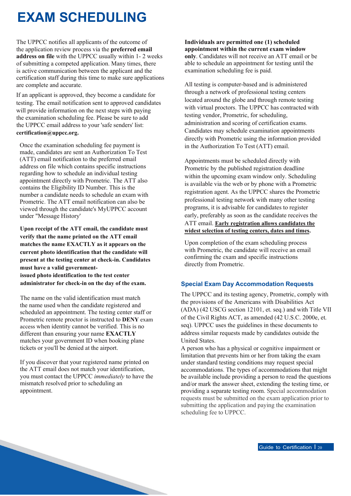### **EXAM SCHEDULING**

The UPPCC notifies all applicants of the outcome of the application review process via the **preferred email address on file** with the UPPCC usually within 1- 2 weeks of submitting a competed application. Many times, there is active communication between the applicant and the certification staff during this time to make sure applications are complete and accurate.

<span id="page-19-0"></span>If an applicant is approved, they become a candidate for testing. The email notification sent to approved candidates will provide information on the next steps with paying the examination scheduling fee. Please be sure to add the UPPCC email address to your 'safe senders' list: **[certification@uppcc.org.](mailto:certification@uppcc.org)**

Once the examination scheduling fee payment is made, candidates are sent an Authorization To Test (ATT) email notification to the preferred email address on file which contains specific instructions regarding how to schedule an individual testing appointment directly with Prometric. The ATT also contains the Eligibility ID Number. This is the number a candidate needs to schedule an exam with Prometric. The ATT email notification can also be viewed through the candidate's MyUPPCC account under "Message History'

**Upon receipt of the ATT email, the candidate must verify that the name printed on the ATT email matches the name EXACTLY as it appears on the current photo identification that the candidate will present at the testing center at check-in. Candidates must have a valid governmentissued photo identification to the test center administrator for check-in on the day of the exam.**

The name on the valid identification must match the name used when the candidate registered and scheduled an appointment. The testing center staff or Prometric remote proctor is instructed to **DENY** exam access when identity cannot be verified. This is no different than ensuring your name **EXACTLY** matches your government ID when booking plane tickets or you'll be denied at the airport.

If you discover that your registered name printed on the ATT email does not match your identification, you must contact the UPPCC *immediately* to have the mismatch resolved prior to scheduling an appointment.

**Individuals are permitted one (1) scheduled appointment within the current exam window only**. Candidates will not receive an ATT email or be able to schedule an appointment for testing until the examination scheduling fee is paid.

All testing is computer-based and is administered through a network of professional testing centers located around the globe and through remote testing with virtual proctors. The UPPCC has contracted with testing vendor, Prometric, for scheduling, administration and scoring of certification exams. Candidates may schedule examination appointments directly with Prometric using the information provided in the Authorization To Test (ATT) email.

Appointments must be scheduled directly with Prometric by the published registration deadline within the upcoming exam window only. Scheduling is available via the web or by phone with a Prometric registration agent. As the UPPCC shares the Prometric professional testing network with many other testing programs, it is advisable for candidates to register early, preferably as soon as the candidate receives the ATT email. **Early registration allows candidates the widest selection of testing centers, dates and times.**

Upon completion of the exam scheduling process with Prometric, the candidate will receive an email confirming the exam and specific instructions directly from Prometric.

### **Special Exam Day Accommodation Requests**

The UPPCC and its testing agency, Prometric, comply with the provisions of the Americans with Disabilities Act (ADA) (42 USCG section 12101, et. seq.) and with Title VII of the Civil Rights ACT, as amended (42 U.S.C. 2000e, et. seq). UPPCC uses the guidelines in these documents to address similar requests made by candidates outside the United States.

A person who has a physical or cognitive impairment or limitation that prevents him or her from taking the exam under standard testing conditions may request special accommodations. The types of accommodations that might be available include providing a person to read the questions and/or mark the answer sheet, extending the testing time, or providing a separate testing room. Special accommodation requests must be submitted on the exam application prior to submitting the application and paying the examination scheduling fee to UPPCC.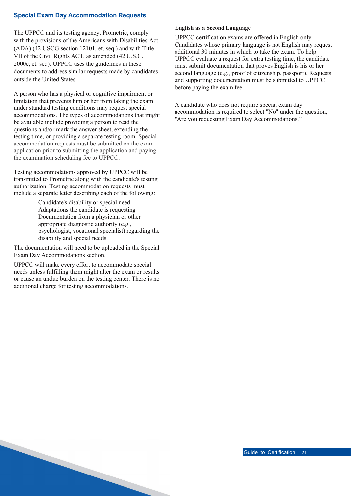### **Special Exam Day Accommodation Requests**

The UPPCC and its testing agency, Prometric, comply with the provisions of the Americans with Disabilities Act (ADA) (42 USCG section 12101, et. seq.) and with Title VII of the Civil Rights ACT, as amended (42 U.S.C. 2000e, et. seq). UPPCC uses the guidelines in these documents to address similar requests made by candidates outside the United States.

A person who has a physical or cognitive impairment or limitation that prevents him or her from taking the exam under standard testing conditions may request special accommodations. The types of accommodations that might be available include providing a person to read the questions and/or mark the answer sheet, extending the testing time, or providing a separate testing room. Special accommodation requests must be submitted on the exam application prior to submitting the application and paying the examination scheduling fee to UPPCC.

Testing accommodations approved by UPPCC will be transmitted to Prometric along with the candidate's testing authorization. Testing accommodation requests must include a separate letter describing each of the following:

> Candidate's disability or special need Adaptations the candidate is requesting Documentation from a physician or other appropriate diagnostic authority (e.g., psychologist, vocational specialist) regarding the disability and special needs

The documentation will need to be uploaded in the Special Exam Day Accommodations section.

UPPCC will make every effort to accommodate special needs unless fulfilling them might alter the exam or results or cause an undue burden on the testing center. There is no additional charge for testing accommodations.

#### **English as a Second Language**

UPPCC certification exams are offered in English only. Candidates whose primary language is not English may request additional 30 minutes in which to take the exam. To help UPPCC evaluate a request for extra testing time, the candidate must submit documentation that proves English is his or her second language (e.g., proof of citizenship, passport). Requests and supporting documentation must be submitted to UPPCC before paying the exam fee.

A candidate who does not require special exam day accommodation is required to select "No" under the question, ''Are you requesting Exam Day Accommodations."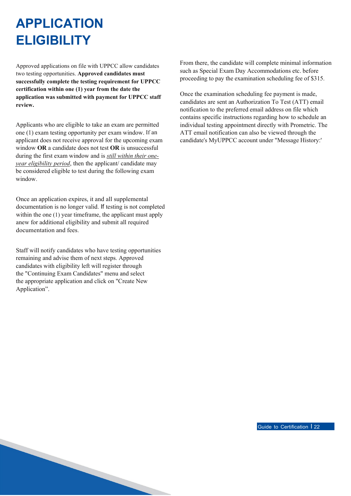### **APPLICATION ELIGIBILITY**

Approved applications on file with UPPCC allow candidates two testing opportunities. **Approved candidates must successfully complete the testing requirement for UPPCC certification within one (1) year from the date the application was submitted with payment for UPPCC staff review.**

<span id="page-21-0"></span>Applicants who are eligible to take an exam are permitted one (1) exam testing opportunity per exam window. If an applicant does not receive approval for the upcoming exam window **OR** a candidate does not test **OR** is unsuccessful during the first exam window and is *still within their oneyear eligibility period*, then the applicant/ candidate may be considered eligible to test during the following exam window.

Once an application expires, it and all supplemental documentation is no longer valid. If testing is not completed within the one (1) year timeframe, the applicant must apply anew for additional eligibility and submit all required documentation and fees.

Staff will notify candidates who have testing opportunities remaining and advise them of next steps. Approved candidates with eligibility left will register through the "Continuing Exam Candidates" menu and select the appropriate application and click on "Create New Application".

From there, the candidate will complete minimal information such as Special Exam Day Accommodations etc. before proceeding to pay the examination scheduling fee of \$315.

Once the examination scheduling fee payment is made, candidates are sent an Authorization To Test (ATT) email notification to the preferred email address on file which contains specific instructions regarding how to schedule an individual testing appointment directly with Prometric. The ATT email notification can also be viewed through the candidate's MyUPPCC account under "Message History:'

Guide to Certification I 22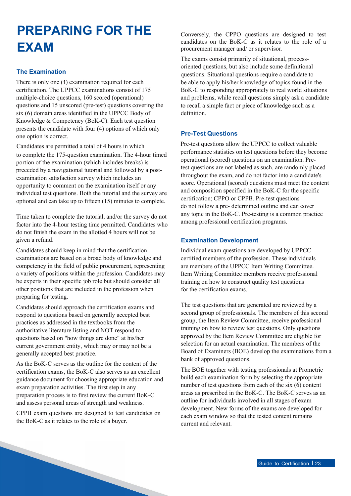### **PREPARING FOR THE EXAM**

### **The Examination**

There is only one (1) examination required for each certification. The UPPCC examinations consist of 175 multiple-choice questions, 160 scored (operational) questions and 15 unscored (pre-test) questions covering the six (6) domain areas identified in the UPPCC Body of Knowledge & Competency (BoK-C). Each test question presents the candidate with four (4) options of which only one option is correct.

<span id="page-22-0"></span>Candidates are permitted a total of 4 hours in which to complete the 175-question examination. The 4-hour timed portion of the examination (which includes breaks) is preceded by a navigational tutorial and followed by a postexamination satisfaction survey which includes an opportunity to comment on the examination itself or any individual test questions. Both the tutorial and the survey are optional and can take up to fifteen (15) minutes to complete.

Time taken to complete the tutorial, and/or the survey do not factor into the 4-hour testing time permitted. Candidates who do not finish the exam in the allotted 4 hours will not be given a refund.

Candidates should keep in mind that the certification examinations are based on a broad body of knowledge and competency in the field of public procurement, representing a variety of positions within the profession. Candidates may be experts in their specific job role but should consider all other positions that are included in the profession when preparing for testing.

Candidates should approach the certification exams and respond to questions based on generally accepted best practices as addressed in the textbooks from the authoritative literature listing and NOT respond to questions based on "how things are done" at his/her current government entity, which may or may not be a generally accepted best practice.

As the BoK-C serves as the outline for the content of the certification exams, the BoK-C also serves as an excellent guidance document for choosing appropriate education and exam preparation activities. The first step in any preparation process is to first review the current BoK-C and assess personal areas of strength and weakness.

CPPB exam questions are designed to test candidates on the BoK-C as it relates to the role of a buyer.

Conversely, the CPPO questions are designed to test candidates on the BoK-C as it relates to the role of a procurement manager and/ or supervisor.

The exams consist primarily of situational, processoriented questions, but also include some definitional questions. Situational questions require a candidate to be able to apply his/her knowledge of topics found in the BoK-C to responding appropriately to real world situations and problems, while recall questions simply ask a candidate to recall a simple fact or piece of knowledge such as a definition.

### **Pre-Test Questions**

Pre-test questions allow the UPPCC to collect valuable performance statistics on test questions before they become operational (scored) questions on an examination. Pretest questions are not labeled as such, are randomly placed throughout the exam, and do not factor into a candidate's score. Operational (scored) questions must meet the content and composition specified in the BoK-C for the specific certification; CPPO or CPPB. Pre-test questions do not follow a pre- determined outline and can cover any topic in the BoK-C. Pre-testing is a common practice among professional certification programs.

### **Examination Development**

Individual exam questions are developed by UPPCC certified members of the profession. These individuals are members of the UPPCC Item Writing Committee. Item Writing Committee members receive professional training on how to construct quality test questions for the certification exams.

The test questions that are generated are reviewed by a second group of professionals. The members of this second group, the Item Review Committee, receive professional training on how to review test questions. Only questions approved by the Item Review Committee are eligible for selection for an actual examination. The members of the Board of Examiners (BOE) develop the examinations from a bank of approved questions.

The BOE together with testing professionals at Prometric build each examination form by selecting the appropriate number of test questions from each of the six (6) content areas as prescribed in the BoK-C. The BoK-C serves as an outline for individuals involved in all stages of exam development. New forms of the exams are developed for each exam window so that the tested content remains current and relevant.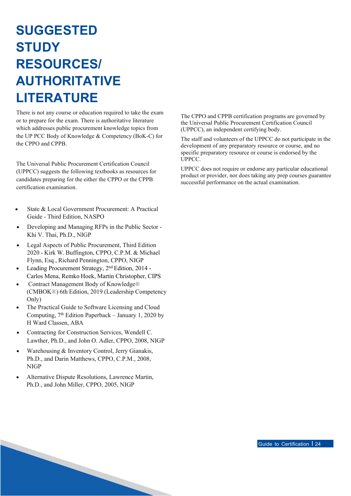### **SUGGESTED STUDY RESOURCES/ AUTHORITATIVE LITERATURE**

<span id="page-23-0"></span>There is not any course or education required to take the exam or to prepare for the exam. There is authoritative literature which addresses public procurement knowledge topics from the UP PCC Body of Knowledge & Competency (BoK-C) for the CPPO and CPPB.

The Universal Public Procurement Certification Council (UPPCC) suggests the following textbooks as resources for candidates preparing for the either the CPPO or the CPPB certification examination.

- State & Local Government Procurement: A Practical Guide - Third Edition, NASPO
- Developing and Managing RFPs in the Public Sector Khi V. Thai, Ph.D., NIGP
- Legal Aspects of Public Procurement, Third Edition 2020 - Kirk W. Buffington, CPPO, C.P.M. & Michael Flynn, Esq., Richard Pennington, CPPO, NIGP
- Leading Procurement Strategy, 2<sup>nd</sup> Edition, 2014 -Carlos Mena, Remko Hoek, Martin Christopher, CIPS
- Contract Management Body of Knowledge® (CMBOK®) 6th Edition, 2019 (Leadership Competency Only)
- The Practical Guide to Software Licensing and Cloud Computing,  $7<sup>th</sup>$  Edition Paperback – January 1, 2020 by H Ward Classen, ABA
- Contracting for Construction Services, Wendell C. Lawther, Ph.D., and John O. Adler, CPPO, 2008, NIGP
- Warehousing & Inventory Control, Jerry Gianakis, Ph.D., and Darin Matthews, CPPO, C.P.M., 2008, NIGP
- Alternative Dispute Resolutions, Lawrence Martin, Ph.D., and John Miller, CPPO, 2005, NIGP

The CPPO and CPPB certification programs are governed by the Universal Public Procurement Certification Council (UPPCC), an independent certifying body.

The staff and volunteers of the UPPCC do not participate in the development of any preparatory resource or course, and no specific preparatory resource or course is endorsed by the UPPCC.

UPPCC does not require or endorse any particular educational product or provider, nor does taking any prep courses guarantee successful performance on the actual examination.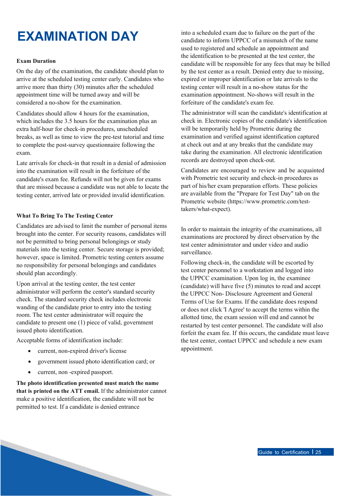### **EXAMINATION DAY**

### **Exam Duration**

On the day of the examination, the candidate should plan to arrive at the scheduled testing center early. Candidates who arrive more than thirty (30) minutes after the scheduled appointment time will be turned away and will be considered a no-show for the examination.

<span id="page-24-0"></span>Candidates should allow 4 hours for the examination, which includes the 3.5 hours for the examination plus an extra half-hour for check-in procedures, unscheduled breaks, as well as time to view the pre-test tutorial and time to complete the post-survey questionnaire following the exam.

Late arrivals for check-in that result in a denial of admission into the examination will result in the forfeiture of the candidate's exam fee. Refunds will not be given for exams that are missed because a candidate was not able to locate the testing center, arrived late or provided invalid identification.

### **What To Bring To The Testing Center**

Candidates are advised to limit the number of personal items brought into the center. For security reasons, candidates will not be permitted to bring personal belongings or study materials into the testing center. Secure storage is provided; however, space is limited. Prometric testing centers assume no responsibility for personal belongings and candidates should plan accordingly.

Upon arrival at the testing center, the test center administrator will perform the center's standard security check. The standard security check includes electronic wanding of the candidate prior to entry into the testing room. The test center administrator will require the candidate to present one (1) piece of valid, government issued photo identification.

Acceptable forms of identification include:

- current, non-expired driver's license
- government issued photo identification card; or
- current, non -expired passport.

**The photo identification presented must match the name that is printed on the ATT email.** If the administrator cannot make a positive identification, the candidate will not be permitted to test. If a candidate is denied entrance

into a scheduled exam due to failure on the part of the candidate to inform UPPCC of a mismatch of the name used to registered and schedule an appointment and the identification to be presented at the test center, the candidate will be responsible for any fees that may be billed by the test center as a result. Denied entry due to missing, expired or improper identification or late arrivals to the testing center will result in a no-show status for the examination appointment. No-shows will result in the forfeiture of the candidate's exam fee.

The administrator will scan the candidate's identification at check in. Electronic copies of the candidate's identification will be temporarily held by Prometric during the examination and verified against identification captured at check out and at any breaks that the candidate may take during the examination. All electronic identification records are destroyed upon check-out.

Candidates are encouraged to review and be acquainted with Prometric test security and check-in procedures as part of his/her exam preparation efforts. These policies are available from the "Prepare for Test Day" tab on the Prometric website (http[s://www.prometric.com/test](http://www.prometric.com/test-)takers/what-expect).

In order to maintain the integrity of the examinations, all examinations are proctored by direct observation by the test center administrator and under video and audio surveillance.

Following check-in, the candidate will be escorted by test center personnel to a workstation and logged into the UPPCC examination. Upon log in, the examinee (candidate) will have five (5) minutes to read and accept the UPPCC Non- Disclosure Agreement and General Terms of Use for Exams. If the candidate does respond or does not click 'I Agree' to accept the terms within the allotted time, the exam session will end and cannot be restarted by test center personnel. The candidate will also forfeit the exam fee. If this occurs, the candidate must leave the test center, contact UPPCC and schedule a new exam appointment.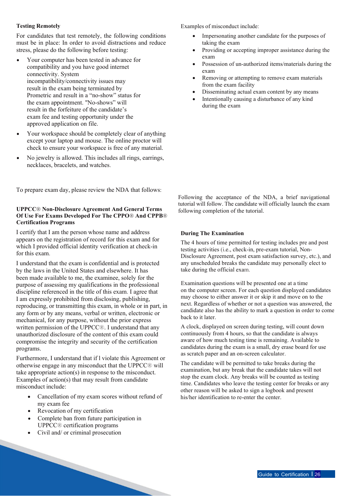### **Testing Remotely**

For candidates that test remotely, the following conditions must be in place: In order to avoid distractions and reduce stress, please do the following before testing:

- Your computer has been tested in advance for compatibility and you have good internet connectivity. System incompatibility/connectivity issues may result in the exam being terminated by Prometric and result in a "no-show" status for the exam appointment. "No-shows" will result in the forfeiture of the candidate's exam fee and testing opportunity under the approved application on file.
- Your workspace should be completely clear of anything except your laptop and mouse. The online proctor will check to ensure your workspace is free of any material.
- No jewelry is allowed. This includes all rings, earrings, necklaces, bracelets, and watches.

To prepare exam day, please review the NDA that follows:

### **UPPCC® Non-Disclosure Agreement And General Terms Of Use For Exams Developed For The CPPO® And CPPB® Certification Programs**

I certify that I am the person whose name and address appears on the registration of record for this exam and for which I provided official identity verification at check-in for this exam.

I understand that the exam is confidential and is protected by the laws in the United States and elsewhere. It has been made available to me, the examinee, solely for the purpose of assessing my qualifications in the professional discipline referenced in the title of this exam. I agree that I am expressly prohibited from disclosing, publishing, reproducing, or transmitting this exam, in whole or in part, in any form or by any means, verbal or written, electronic or mechanical, for any purpose, without the prior express written permission of the UPPCC®. I understand that any unauthorized disclosure of the content of this exam could compromise the integrity and security of the certification programs.

Furthermore, I understand that if l violate this Agreement or otherwise engage in any misconduct that the UPPCC® will take appropriate action(s) in response to the misconduct. Examples of action(s) that may result from candidate misconduct include:

- Cancellation of my exam scores without refund of my exam fee
- Revocation of my certification
- Complete ban from future participation in UPPCC® certification programs
- Civil and/ or criminal prosecution

Examples of misconduct include:

- Impersonating another candidate for the purposes of taking the exam
- Providing or accepting improper assistance during the exam
- Possession of un-authorized items/materials during the exam
- Removing or attempting to remove exam materials from the exam facility
- Disseminating actual exam content by any means
- Intentionally causing a disturbance of any kind during the exam

Following the acceptance of the NDA, a brief navigational tutorial will follow. The candidate will officially launch the exam following completion of the tutorial.

#### **During The Examination**

The 4 hours of time permitted for testing includes pre and post testing activities (i.e., check-in, pre-exam tutorial, Non-Disclosure Agreement, post exam satisfaction survey, etc.), and any unscheduled breaks the candidate may personally elect to take during the official exam.

Examination questions will be presented one at a time on the computer screen. For each question displayed candidates may choose to either answer it or skip it and move on to the next. Regardless of whether or not a question was answered, the candidate also has the ability to mark a question in order to come back to it later.

A clock, displayed on screen during testing, will count down continuously from 4 hours, so that the candidate is always aware of how much testing time is remaining. Available to candidates during the exam is a small, dry erase board for use as scratch paper and an on-screen calculator.

The candidate will be permitted to take breaks during the examination, but any break that the candidate takes will not stop the exam clock. Any breaks will be counted as testing time. Candidates who leave the testing center for breaks or any other reason will be asked to sign a logbook and present his/her identification to re-enter the center.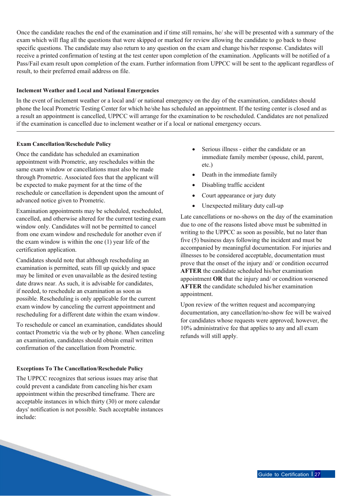Once the candidate reaches the end of the examination and if time still remains, he/ she will be presented with a summary of the exam which will flag all the questions that were skipped or marked for review allowing the candidate to go back to those specific questions. The candidate may also return to any question on the exam and change his/her response. Candidates will receive a printed confirmation of testing at the test center upon completion of the examination. Applicants will be notified of a Pass/Fail exam result upon completion of the exam. Further information from UPPCC will be sent to the applicant regardless of result, to their preferred email address on file.

### **Inclement Weather and Local and National Emergencies**

In the event of inclement weather or a local and/ or national emergency on the day of the examination, candidates should phone the local Prometric Testing Center for which he/she has scheduled an appointment. If the testing center is closed and as a result an appointment is cancelled, UPPCC will arrange for the examination to be rescheduled. Candidates are not penalized if the examination is cancelled due to inclement weather or if a local or national emergency occurs.

### **Exam Cancellation/Reschedule Policy**

Once the candidate has scheduled an examination appointment with Prometric, any reschedules within the same exam window or cancellations must also be made through Prometric. Associated fees that the applicant will be expected to make payment for at the time of the reschedule or cancellation is dependent upon the amount of advanced notice given to Prometric.

Examination appointments may be scheduled, rescheduled, cancelled, and otherwise altered for the current testing exam window only. Candidates will not be permitted to cancel from one exam window and reschedule for another even if the exam window is within the one (1) year life of the certification application.

Candidates should note that although rescheduling an examination is permitted, seats fill up quickly and space may be limited or even unavailable as the desired testing date draws near. As such, it is advisable for candidates, if needed, to reschedule an examination as soon as possible. Rescheduling is only applicable for the current exam window by canceling the current appointment and rescheduling for a different date within the exam window.

To reschedule or cancel an examination, candidates should contact Prometric via the web or by phone. When canceling an examination, candidates should obtain email written confirmation of the cancellation from Prometric.

### **Exceptions To The Cancellation/Reschedule Policy**

The UPPCC recognizes that serious issues may arise that could prevent a candidate from canceling his/her exam appointment within the prescribed timeframe. There are acceptable instances in which thirty (30) or more calendar days' notification is not possible. Such acceptable instances include:

- Serious illness either the candidate or an immediate family member (spouse, child, parent, etc.)
- Death in the immediate family
- Disabling traffic accident
- Court appearance or jury duty
- Unexpected military duty call-up

Late cancellations or no-shows on the day of the examination due to one of the reasons listed above must be submitted in writing to the UPPCC as soon as possible, but no later than five (5) business days following the incident and must be accompanied by meaningful documentation. For injuries and illnesses to be considered acceptable, documentation must prove that the onset of the injury and/ or condition occurred **AFTER** the candidate scheduled his/her examination appointment **OR** that the injury and/ or condition worsened **AFTER** the candidate scheduled his/her examination appointment.

Upon review of the written request and accompanying documentation, any cancellation/no-show fee will be waived for candidates whose requests were approved; however, the 10% administrative fee that applies to any and all exam refunds will still apply.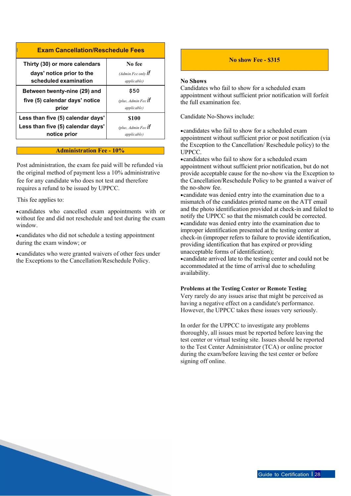### I **Exam Cancellation/Reschedule Fees**

| Thirty (30) or more calendars                      | No fee                                               |
|----------------------------------------------------|------------------------------------------------------|
| days' notice prior to the<br>scheduled examination | (Admin Fee only $\mathbf{if}$<br><i>applicable</i> ) |
| Between twenty-nine (29) and                       | \$50                                                 |
| five (5) calendar days' notice                     | (plus, Admin Fee $\mathbf{if}$                       |
| prior                                              | <i>applicable</i> )                                  |
| Less than five (5) calendar days'                  | <b>\$100</b>                                         |
| Less than five (5) calendar days'                  | (plus, Admin Fee $\mathbf{if}$                       |
| notice prior                                       | <i>applicable</i> )                                  |

#### **Administration Fee - 10%**

Post administration, the exam fee paid will be refunded via the original method of payment less a 10% administrative fee for any candidate who does not test and therefore requires a refund to be issued by UPPCC.

This fee applies to:

•candidates who cancelled exam appointments with or without fee and did not reschedule and test during the exam window.

•candidates who did not schedule a testing appointment during the exam window; or

•candidates who were granted waivers of other fees under the Exceptions to the Cancellation/Reschedule Policy.

### **No show Fee - \$315**

#### **No Shows**

Candidates who fail to show for a scheduled exam appointment without sufficient prior notification will forfeit the full examination fee.

Candidate No-Shows include:

•candidates who fail to show for a scheduled exam appointment without sufficient prior or post notification (via the Exception to the Cancellation/ Reschedule policy) to the UPPCC.

•candidates who fail to show for a scheduled exam appointment without sufficient prior notification, but do not provide acceptable cause for the no-show via the Exception to the Cancellation/Reschedule Policy to be granted a waiver of the no-show fee.

•candidate was denied entry into the examination due to a mismatch of the candidates printed name on the ATT email and the photo identification provided at check-in and failed to notify the UPPCC so that the mismatch could be corrected. •candidate was denied entry into the examination due to improper identification presented at the testing center at check-in (improper refers to failure to provide identification, providing identification that has expired or providing unacceptable forms of identification);

•candidate arrived late to the testing center and could not be accommodated at the time of arrival due to scheduling availability.

#### **Problems at the Testing Center or Remote Testing**

Very rarely do any issues arise that might be perceived as having a negative effect on a candidate's performance. However, the UPPCC takes these issues very seriously.

In order for the UPPCC to investigate any problems thoroughly, all issues must be reported before leaving the test center or virtual testing site. Issues should be reported to the Test Center Administrator (TCA) or online proctor during the exam/before leaving the test center or before signing off online.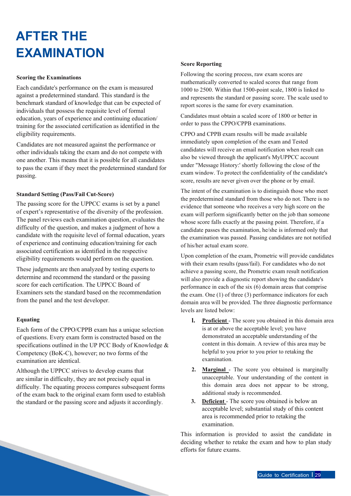### **AFTER THE EXAMINATION**

#### **Scoring the Examinations**

Each candidate's performance on the exam is measured against a predetermined standard. This standard is the benchmark standard of knowledge that can be expected of individuals that possess the requisite level of formal education, years of experience and continuing education/ training for the associated certification as identified in the eligibility requirements.

<span id="page-28-0"></span>Candidates are not measured against the performance or other individuals taking the exam and do not compete with one another. This means that it is possible for all candidates to pass the exam if they meet the predetermined standard for passing.

#### **Standard Setting (Pass/Fail Cut-Score)**

The passing score for the UPPCC exams is set by a panel of expert's representative of the diversity of the profession. The panel reviews each examination question, evaluates the difficulty of the question, and makes a judgment of how a candidate with the requisite level of formal education, years of experience and continuing education/training for each associated certification as identified in the respective eligibility requirements would perform on the question.

These judgments are then analyzed by testing experts to determine and recommend the standard or the passing score for each certification. The UPPCC Board of Examiners sets the standard based on the recommendation from the panel and the test developer.

#### **Equating**

Each form of the CPPO/CPPB exam has a unique selection of questions. Every exam form is constructed based on the specifications outlined in the UP PCC Body of Knowledge & Competency (BoK-C), however; no two forms of the examination are identical.

Although the UPPCC strives to develop exams that are similar in difficulty, they are not precisely equal in difficulty. The equating process compares subsequent forms of the exam back to the original exam form used to establish the standard or the passing score and adjusts it accordingly.

#### **Score Reporting**

Following the scoring process, raw exam scores are mathematically converted to scaled scores that range from 1000 to 2500. Within that 1500-point scale, 1800 is linked to and represents the standard or passing score. The scale used to report scores is the same for every examination.

Candidates must obtain a scaled score of 1800 or better in order to pass the CPPO/CPPB examinations.

CPPO and CPPB exam results will be made available immediately upon completion of the exam and Tested candidates will receive an email notification when result can also be viewed through the applicant's MyUPPCC account under "Message History:' shortly following the close of the exam window. To protect the confidentiality of the candidate's score, results are never given over the phone or by email.

The intent of the examination is to distinguish those who meet the predetermined standard from those who do not. There is no evidence that someone who receives a very high score on the exam will perform significantly better on the job than someone whose score falls exactly at the passing point. Therefore, if a candidate passes the examination, he/she is informed only that the examination was passed. Passing candidates are not notified of his/her actual exam score.

Upon completion of the exam, Prometric will provide candidates with their exam results (pass/fail). For candidates who do not achieve a passing score, the Prometric exam result notification will also provide a diagnostic report showing the candidate's performance in each of the six (6) domain areas that comprise the exam. One (1) of three (3) performance indicators for each domain area will be provided. The three diagnostic performance levels are listed below:

- **l. Proficient** The score you obtained in this domain area is at or above the acceptable level; you have demonstrated an acceptable understanding of the content in this domain. A review of this area may be helpful to you prior to you prior to retaking the examination.
- **2. Marginal**  The score you obtained is marginally unacceptable. Your understanding of the content in this domain area does not appear to be strong, additional study is recommended.
- **3. Deficient**  The score you obtained is below an acceptable level; substantial study of this content area is recommended prior to retaking the examination.

This information is provided to assist the candidate in deciding whether to retake the exam and how to plan study efforts for future exams.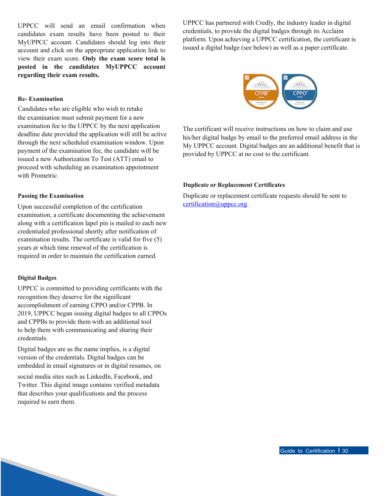UPPCC will send an email confirmation when candidates exam results have been posted to their MyUPPCC account. Candidates should log into their account and click on the appropriate application link to view their exam score. **Only the exam score total is posted in the candidates MyUPPCC account regarding their exam results.**

**Re- Examination**

Candidates who are eligible who wish to retake the examination must submit payment for a new examination fee to the UPPCC by the next application deadline date provided the application will still be active through the next scheduled examination window. Upon payment of the examination fee, the candidate will be issued a new Authorization To Test (ATT) email to proceed with scheduling an examination appointment with Prometric.

### **Passing the Examination**

Upon successful completion of the certification examination, a certificate documenting the achievement along with a certification lapel pin is mailed to each new credentialed professional shortly after notification of examination results. The certificate is valid for five (5) years at which time renewal of the certification is required in order to maintain the certification earned.

### **Digital Badges**

UPPCC is committed to providing certificants with the recognition they deserve for the significant accomplishment of earning CPPO and/or CPPB. In 2019, UPPCC began issuing digital badges to all CPPOs and CPPBs to provide them with an additional tool to help them with communicating and sharing their credentials.

Digital badges are as the name implies, is a digital version of the credentials. Digital badges can be embedded in email signatures or in digital resumes, on

social media sites such as LinkedIn, Facebook, and Twitter. This digital image contains verified metadata that describes your qualifications and the process required to earn them.

UPPCC has partnered with Credly, the industry leader in digital credentials, to provide the digital badges through its Acclaim platform. Upon achieving a UPPCC certification, the certificant is issued a digital badge (see below) as well as a paper certificate.



The certificant will receive instructions on how to claim and use his/her digital badge by email to the preferred email address in the My UPPCC account. Digital badges are an additional benefit that is provided by UPPCC at no cost to the certificant.

### **Duplicate or Replacement Certificates**

Duplicate or replacement certificate requests should be sent to [certification@uppcc.org.](mailto:certification@uppcc.org)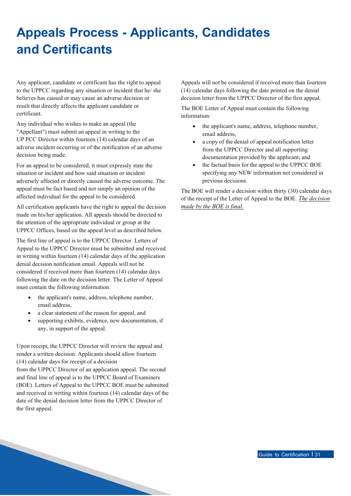### **Appeals Process - Applicants, Candidates and Certificants**

Any applicant, candidate or certificant has the right to appeal to the UPPCC regarding any situation or incident that he/ she believes has caused or may cause an adverse decision or result that directly affects the applicant candidate or certificant.

<span id="page-30-0"></span>Any individual who wishes to make an appeal (the "Appellant") must submit an appeal in writing to the UP PCC Director within fourteen (14) calendar days of an adverse incident occurring or of the notification of an adverse decision being made.

For an appeal to be considered, it must expressly state the situation or incident and how said situation or incident adversely affected or directly caused the adverse outcome. The appeal must be fact based and not simply an opinion of the affected individual for the appeal to be considered.

All certification applicants have the right to appeal the decision made on his/her application. All appeals should be directed to the attention of the appropriate individual or group at the UPPCC Offices, based on the appeal level as described below.

The first line of appeal is to the UPPCC Director. Letters of Appeal to the UPPCC Director must be submitted and received in writing within fourteen (14) calendar days of the application denial decision notification email. Appeals will not be considered if received more than fourteen (14) calendar days following the date on the decision letter. The Letter of Appeal must contain the following information:

- the applicant's name, address, telephone number, email address,
- a clear statement of the reason for appeal, and
- supporting exhibits, evidence, new documentation, if any, in support of the appeal.

Upon receipt, the UPPCC Director will review the appeal and render a written decision. Applicants should allow fourteen (14) calendar days for receipt of a decision from the UPPCC Director of an application appeal. The second and final line of appeal is to the UPPCC Board of Examiners (BOE). Letters of Appeal to the UPPCC BOE must be submitted and received in writing within fourteen (14) calendar days of the date of the denial decision letter from the UPPCC Director of the first appeal.

Appeals will not be considered if received more than fourteen (14) calendar days following the date printed on the denial decision letter from the UPPCC Director of the first appeal.

The BOE Letter of Appeal must contain the following information:

- the applicant's name, address, telephone number, email address,
- a copy of the denial of appeal notification letter from the UPPCC Director and all supporting documentation provided by the applicant; and
- the factual basis for the appeal to the UPPCC BOE specifying any NEW information not considered in previous decisions.

The BOE will render a decision within thirty (30) calendar days of the receipt of the Letter of Appeal to the BOE. *The decision made by the BOE is final.*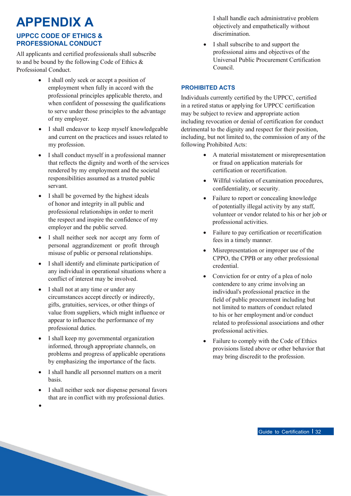### **APPENDIX A**

### **UPPCC CODE OF ETHICS & PROFESSIONAL CONDUCT**

All applicants and certified professionals shall subscribe to and be bound by the following Code of Ethics & Professional Conduct.

- I shall only seek or accept a position of employment when fully in accord with the professional principles applicable thereto, and when confident of possessing the qualifications to serve under those principles to the advantage of my employer.
- <span id="page-31-0"></span>• I shall endeavor to keep myself knowledgeable and current on the practices and issues related to my profession.
- I shall conduct myself in a professional manner that reflects the dignity and worth of the services rendered by my employment and the societal responsibilities assumed as a trusted public servant.
- I shall be governed by the highest ideals of honor and integrity in all public and professional relationships in order to merit the respect and inspire the confidence of my employer and the public served.
- I shall neither seek nor accept any form of personal aggrandizement or profit through misuse of public or personal relationships.
- I shall identify and eliminate participation of any individual in operational situations where a conflict of interest may be involved.
- I shall not at any time or under any circumstances accept directly or indirectly, gifts, gratuities, services, or other things of value from suppliers, which might influence or appear to influence the performance of my professional duties.
- I shall keep my governmental organization informed, through appropriate channels, on problems and progress of applicable operations by emphasizing the importance of the facts.
- I shall handle all personnel matters on a merit basis.
- I shall neither seek nor dispense personal favors that are in conflict with my professional duties.

•

I shall handle each administrative problem objectively and empathetically without discrimination.

• I shall subscribe to and support the professional aims and objectives of the Universal Public Procurement Certification Council.

### **PROHIBITED ACTS**

Individuals currently certified by the UPPCC, certified in a retired status or applying for UPPCC certification may be subject to review and appropriate action including revocation or denial of certification for conduct detrimental to the dignity and respect for their position, including, but not limited to, the commission of any of the following Prohibited Acts:

- A material misstatement or misrepresentation or fraud on application materials for certification or recertification.
- Willful violation of examination procedures, confidentiality, or security.
- Failure to report or concealing knowledge of potentially illegal activity by any staff, volunteer or vendor related to his or her job or professional activities.
- Failure to pay certification or recertification fees in a timely manner.
- Misrepresentation or improper use of the CPPO, the CPPB or any other professional credential.
- Conviction for or entry of a plea of nolo contendere to any crime involving an individual's professional practice in the field of public procurement including but not limited to matters of conduct related to his or her employment and/or conduct related to professional associations and other professional activities.
- Failure to comply with the Code of Ethics provisions listed above or other behavior that may bring discredit to the profession.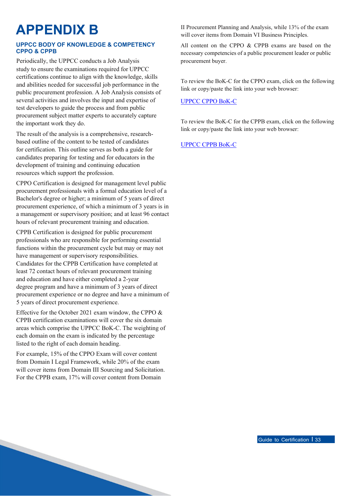### **APPENDIX B**

### **UPPCC BODY OF KNOWLEDGE & COMPETENCY CPPO & CPPB**

Periodically, the UPPCC conducts a Job Analysis study to ensure the examinations required for UPPCC certifications continue to align with the knowledge, skills and abilities needed for successful job performance in the public procurement profession. A Job Analysis consists of several activities and involves the input and expertise of test developers to guide the process and from public procurement subject matter experts to accurately capture the important work they do.

<span id="page-32-0"></span>The result of the analysis is a comprehensive, researchbased outline of the content to be tested of candidates for certification. This outline serves as both a guide for candidates preparing for testing and for educators in the development of training and continuing education resources which support the profession.

CPPO Certification is designed for management level public procurement professionals with a formal education level of a Bachelor's degree or higher; a minimum of 5 years of direct procurement experience, of which a minimum of 3 years is in a management or supervisory position; and at least 96 contact hours of relevant procurement training and education.

CPPB Certification is designed for public procurement professionals who are responsible for performing essential functions within the procurement cycle but may or may not have management or supervisory responsibilities. Candidates for the CPPB Certification have completed at least 72 contact hours of relevant procurement training and education and have either completed a 2-year degree program and have a minimum of 3 years of direct procurement experience or no degree and have a minimum of 5 years of direct procurement experience.

Effective for the October 2021 exam window, the CPPO & CPPB certification examinations will cover the six domain areas which comprise the UPPCC BoK-C. The weighting of each domain on the exam is indicated by the percentage listed to the right of each domain heading.

For example, 15% of the CPPO Exam will cover content from Domain I Legal Framework, while 20% of the exam will cover items from Domain III Sourcing and Solicitation. For the CPPB exam, 17% will cover content from Domain

II Procurement Planning and Analysis, while 13% of the exam will cover items from Domain VI Business Principles.

All content on the CPPO & CPPB exams are based on the necessary competencies of a public procurement leader or public procurement buyer.

To review the BoK-C for the CPPO exam, click on the following link or copy/paste the link into your web browser:

### [UPPCC CPPO](https://uppcc.org/Portals/0/2021_UPPCC_BoKC_CPPO_Crosswalk.pdf) BoK-C

To review the BoK-C for the CPPB exam, click on the following link or copy/paste the link into your web browser:

### [UPPCC CPPB](https://uppcc.org/Portals/0/2021_UPPCC_BoKC_CPPb_Crosswalk.pdf) BoK-C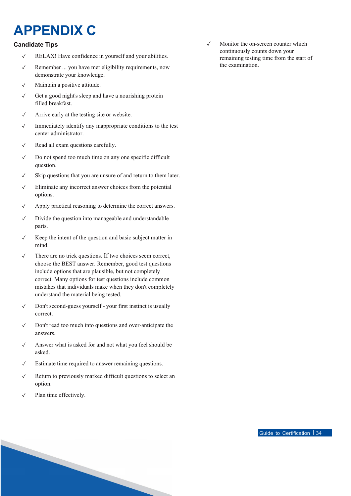### **APPENDIX C**

### **Candidate Tips**

- ✓ RELAX! Have confidence in yourself and your abilities.
- ✓ Remember ... you have met eligibility requirements, now demonstrate your knowledge.
- ✓ Maintain a positive attitude.
- ✓ Get a good night's sleep and have a nourishing protein filled breakfast.
- ✓ Arrive early at the testing site or website.
- <span id="page-33-0"></span>✓ Immediately identify any inappropriate conditions to the test center administrator.
- ✓ Read all exam questions carefully.
- ✓ Do not spend too much time on any one specific difficult question.
- ✓ Skip questions that you are unsure of and return to them later.
- $\sqrt{\phantom{a}}$  Eliminate any incorrect answer choices from the potential options.
- ✓ Apply practical reasoning to determine the correct answers.
- ✓ Divide the question into manageable and understandable parts.
- ✓ Keep the intent of the question and basic subject matter in mind.
- ✓ There are no trick questions. If two choices seem correct, choose the BEST answer. Remember, good test questions include options that are plausible, but not completely correct. Many options for test questions include common mistakes that individuals make when they don't completely understand the material being tested.
- ✓ Don't second-guess yourself your first instinct is usually correct.
- ✓ Don't read too much into questions and over-anticipate the answers.
- ✓ Answer what is asked for and not what you feel should be asked.
- ✓ Estimate time required to answer remaining questions.
- ✓ Return to previously marked difficult questions to select an option.
- ✓ Plan time effectively.

✓ Monitor the on-screen counter which continuously counts down your remaining testing time from the start of the examination.